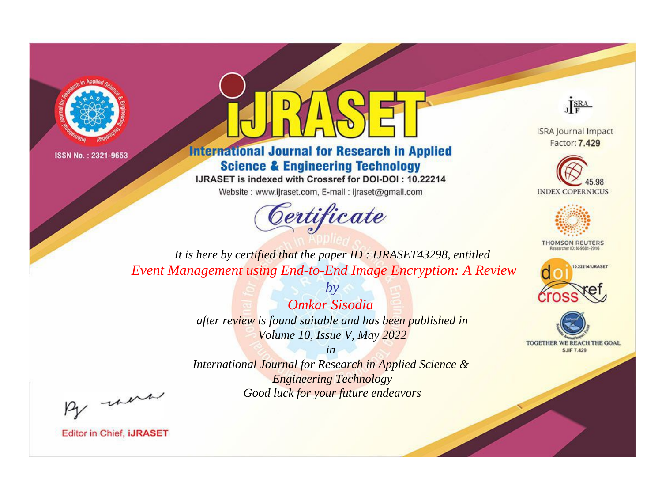



**International Journal for Research in Applied Science & Engineering Technology** 

IJRASET is indexed with Crossref for DOI-DOI: 10.22214

Website: www.ijraset.com, E-mail: ijraset@gmail.com



JERA

**ISRA Journal Impact** Factor: 7.429





**THOMSON REUTERS** 



TOGETHER WE REACH THE GOAL **SJIF 7.429** 

*It is here by certified that the paper ID : IJRASET43298, entitled Event Management using End-to-End Image Encryption: A Review*

> *by Omkar Sisodia after review is found suitable and has been published in Volume 10, Issue V, May 2022*

> > *in*

*International Journal for Research in Applied Science & Engineering Technology Good luck for your future endeavors*

By morn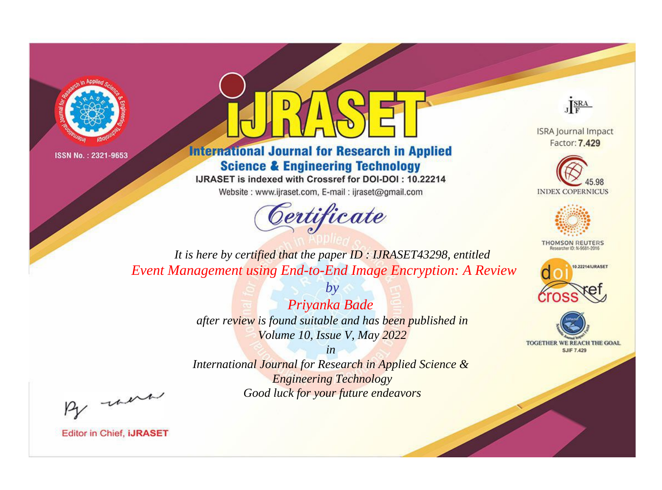



**International Journal for Research in Applied Science & Engineering Technology** 

IJRASET is indexed with Crossref for DOI-DOI: 10.22214

Website: www.ijraset.com, E-mail: ijraset@gmail.com



JERA

**ISRA Journal Impact** Factor: 7.429





**THOMSON REUTERS** 



TOGETHER WE REACH THE GOAL **SJIF 7.429** 

*It is here by certified that the paper ID : IJRASET43298, entitled Event Management using End-to-End Image Encryption: A Review*

> *Priyanka Bade after review is found suitable and has been published in Volume 10, Issue V, May 2022*

*by*

*in* 

*International Journal for Research in Applied Science & Engineering Technology Good luck for your future endeavors*

By morn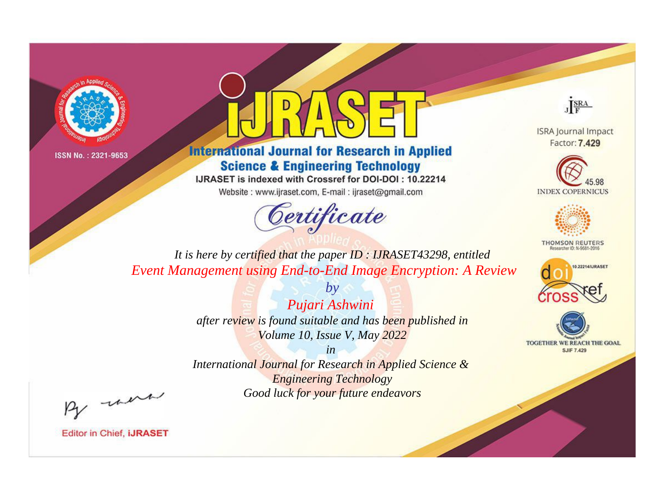



**International Journal for Research in Applied Science & Engineering Technology** 

IJRASET is indexed with Crossref for DOI-DOI: 10.22214

Website: www.ijraset.com, E-mail: ijraset@gmail.com



JERA

**ISRA Journal Impact** Factor: 7.429





**THOMSON REUTERS** 



TOGETHER WE REACH THE GOAL **SJIF 7.429** 

*It is here by certified that the paper ID : IJRASET43298, entitled Event Management using End-to-End Image Encryption: A Review*

> *Pujari Ashwini after review is found suitable and has been published in Volume 10, Issue V, May 2022*

*by*

*in* 

*International Journal for Research in Applied Science & Engineering Technology Good luck for your future endeavors*

By morn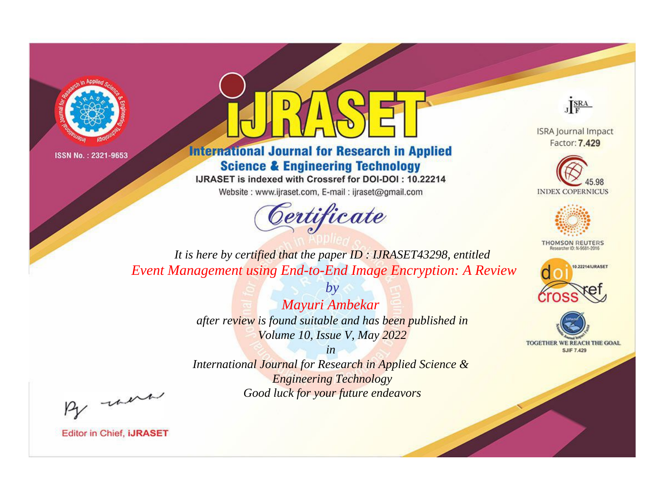



**International Journal for Research in Applied Science & Engineering Technology** 

IJRASET is indexed with Crossref for DOI-DOI: 10.22214

Website: www.ijraset.com, E-mail: ijraset@gmail.com



JERA

**ISRA Journal Impact** Factor: 7.429





**THOMSON REUTERS** 



TOGETHER WE REACH THE GOAL **SJIF 7.429** 

*It is here by certified that the paper ID : IJRASET43298, entitled Event Management using End-to-End Image Encryption: A Review*

> *by Mayuri Ambekar after review is found suitable and has been published in Volume 10, Issue V, May 2022*

> > *in*

*International Journal for Research in Applied Science & Engineering Technology Good luck for your future endeavors*

By morn